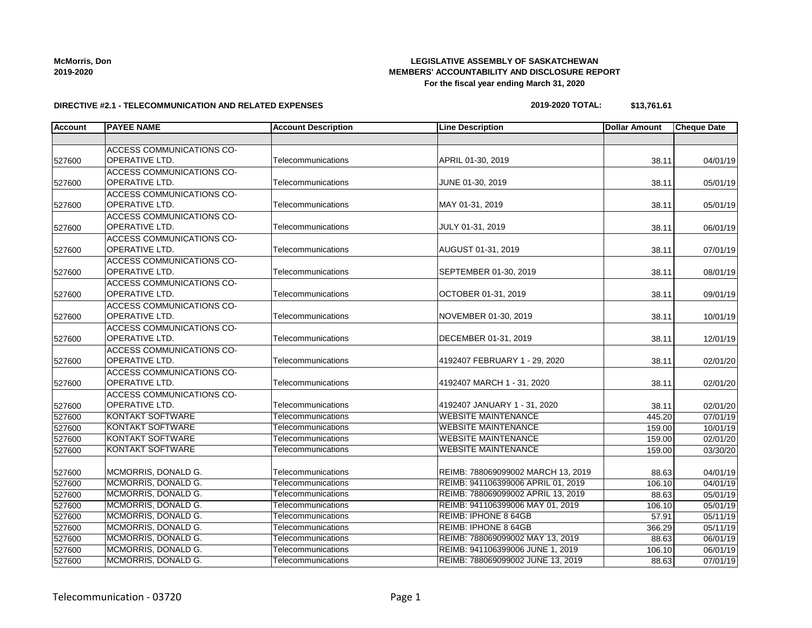| <b>McMorris, Don</b> |  |
|----------------------|--|
| 2019-2020            |  |

## **LEGISLATIVE ASSEMBLY OF SASKATCHEWAN MEMBERS' ACCOUNTABILITY AND DISCLOSURE REPORT For the fiscal year ending March 31, 2020**

## **DIRECTIVE #2.1 - TELECOMMUNICATION AND RELATED EXPENSES**

| <b>Account</b> | <b>PAYEE NAME</b>                | <b>Account Description</b> | <b>Line Description</b>            | <b>IDollar Amount</b> | <b>Cheque Date</b> |
|----------------|----------------------------------|----------------------------|------------------------------------|-----------------------|--------------------|
|                |                                  |                            |                                    |                       |                    |
|                | <b>ACCESS COMMUNICATIONS CO-</b> |                            |                                    |                       |                    |
| 527600         | OPERATIVE LTD.                   | Telecommunications         | APRIL 01-30, 2019                  | 38.11                 | 04/01/19           |
|                | <b>ACCESS COMMUNICATIONS CO-</b> |                            |                                    |                       |                    |
| 527600         | OPERATIVE LTD.                   | Telecommunications         | JUNE 01-30, 2019                   | 38.11                 | 05/01/19           |
|                | ACCESS COMMUNICATIONS CO-        |                            |                                    |                       |                    |
| 527600         | OPERATIVE LTD.                   | Telecommunications         | MAY 01-31, 2019                    | 38.11                 | 05/01/19           |
|                | ACCESS COMMUNICATIONS CO-        |                            |                                    |                       |                    |
| 527600         | OPERATIVE LTD.                   | Telecommunications         | JULY 01-31, 2019                   | 38.11                 | 06/01/19           |
|                | ACCESS COMMUNICATIONS CO-        |                            |                                    |                       |                    |
| 527600         | OPERATIVE LTD.                   | Telecommunications         | AUGUST 01-31, 2019                 | 38.11                 | 07/01/19           |
|                | ACCESS COMMUNICATIONS CO-        |                            |                                    |                       |                    |
| 527600         | OPERATIVE LTD.                   | Telecommunications         | SEPTEMBER 01-30, 2019              | 38.11                 | 08/01/19           |
|                | ACCESS COMMUNICATIONS CO-        |                            |                                    |                       |                    |
| 527600         | OPERATIVE LTD.                   | Telecommunications         | OCTOBER 01-31, 2019                | 38.11                 | 09/01/19           |
|                | ACCESS COMMUNICATIONS CO-        |                            |                                    |                       |                    |
| 527600         | OPERATIVE LTD.                   | Telecommunications         | NOVEMBER 01-30, 2019               | 38.11                 | 10/01/19           |
|                | ACCESS COMMUNICATIONS CO-        |                            |                                    |                       |                    |
| 527600         | OPERATIVE LTD.                   | Telecommunications         | DECEMBER 01-31, 2019               | 38.11                 | 12/01/19           |
|                | ACCESS COMMUNICATIONS CO-        |                            |                                    |                       |                    |
| 527600         | OPERATIVE LTD.                   | Telecommunications         | 4192407 FEBRUARY 1 - 29, 2020      | 38.11                 | 02/01/20           |
|                | ACCESS COMMUNICATIONS CO-        |                            |                                    |                       |                    |
| 527600         | OPERATIVE LTD.                   | Telecommunications         | 4192407 MARCH 1 - 31, 2020         | 38.11                 | 02/01/20           |
|                | <b>ACCESS COMMUNICATIONS CO-</b> |                            |                                    |                       |                    |
| 527600         | OPERATIVE LTD.                   | Telecommunications         | 4192407 JANUARY 1 - 31, 2020       | 38.11                 | 02/01/20           |
| 527600         | <b>KONTAKT SOFTWARE</b>          | Telecommunications         | <b>WEBSITE MAINTENANCE</b>         | 445.20                | 07/01/19           |
| 527600         | KONTAKT SOFTWARE                 | Telecommunications         | <b>WEBSITE MAINTENANCE</b>         | 159.00                | 10/01/19           |
| 527600         | <b>KONTAKT SOFTWARE</b>          | Telecommunications         | <b>WEBSITE MAINTENANCE</b>         | 159.00                | 02/01/20           |
| 527600         | KONTAKT SOFTWARE                 | Telecommunications         | <b>WEBSITE MAINTENANCE</b>         | 159.00                | 03/30/20           |
|                |                                  |                            |                                    |                       |                    |
| 527600         | MCMORRIS, DONALD G.              | Telecommunications         | REIMB: 788069099002 MARCH 13, 2019 | 88.63                 | 04/01/19           |
| 527600         | MCMORRIS, DONALD G.              | Telecommunications         | REIMB: 941106399006 APRIL 01, 2019 | 106.10                | 04/01/19           |
| 527600         | MCMORRIS, DONALD G.              | Telecommunications         | REIMB: 788069099002 APRIL 13, 2019 | 88.63                 | 05/01/19           |
| 527600         | MCMORRIS, DONALD G.              | Telecommunications         | REIMB: 941106399006 MAY 01, 2019   | 106.10                | 05/01/19           |
| 527600         | MCMORRIS, DONALD G.              | Telecommunications         | REIMB: IPHONE 8 64GB               | 57.91                 | 05/11/19           |
| 527600         | MCMORRIS, DONALD G.              | Telecommunications         | REIMB: IPHONE 8 64GB               | 366.29                | 05/11/19           |
| 527600         | MCMORRIS, DONALD G.              | Telecommunications         | REIMB: 788069099002 MAY 13, 2019   | 88.63                 | 06/01/19           |
| 527600         | MCMORRIS, DONALD G.              | Telecommunications         | REIMB: 941106399006 JUNE 1, 2019   | 106.10                | 06/01/19           |
| 527600         | MCMORRIS DONALD G                | <b>Talecommunications</b>  | REIMB: 7880600000002 ILINE 13 2010 | 00C2                  | 07/01/10           |

527600 MCMORRIS, DONALD G. Telecommunications REIMB: 788069099002 JUNE 13, 2019 88.63 07/01/19

**2019-2020 TOTAL: \$13,761.61**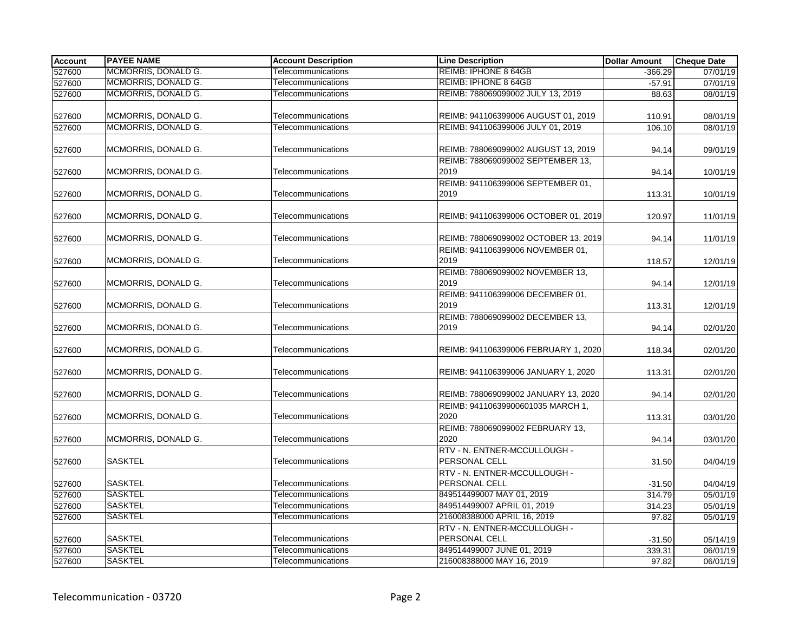| Account | <b>PAYEE NAME</b>                | <b>Account Description</b> | <b>Line Description</b>                       | <b>Dollar Amount</b> | <b>Cheque Date</b> |
|---------|----------------------------------|----------------------------|-----------------------------------------------|----------------------|--------------------|
| 527600  | MCMORRIS, DONALD G.              | Telecommunications         | <b>REIMB: IPHONE 8 64GB</b>                   | $-366.29$            | 07/01/19           |
| 527600  | MCMORRIS, DONALD G.              | Telecommunications         | <b>REIMB: IPHONE 8 64GB</b>                   | $-57.91$             | 07/01/19           |
| 527600  | MCMORRIS, DONALD G.              | Telecommunications         | REIMB: 788069099002 JULY 13, 2019             | 88.63                | 08/01/19           |
| 527600  | MCMORRIS, DONALD G.              | Telecommunications         | REIMB: 941106399006 AUGUST 01, 2019           | 110.91               | 08/01/19           |
| 527600  | MCMORRIS, DONALD G.              | Telecommunications         | REIMB: 941106399006 JULY 01, 2019             | 106.10               | 08/01/19           |
| 527600  | MCMORRIS, DONALD G.              | Telecommunications         | REIMB: 788069099002 AUGUST 13, 2019           | 94.14                | 09/01/19           |
| 527600  | MCMORRIS, DONALD G.              | Telecommunications         | REIMB: 788069099002 SEPTEMBER 13,<br>2019     | 94.14                | 10/01/19           |
| 527600  | MCMORRIS, DONALD G.              | Telecommunications         | REIMB: 941106399006 SEPTEMBER 01,<br>2019     | 113.31               | 10/01/19           |
| 527600  | MCMORRIS, DONALD G.              | Telecommunications         | REIMB: 941106399006 OCTOBER 01, 2019          | 120.97               | 11/01/19           |
| 527600  | MCMORRIS, DONALD G.              | Telecommunications         | REIMB: 788069099002 OCTOBER 13, 2019          | 94.14                | 11/01/19           |
|         |                                  |                            | REIMB: 941106399006 NOVEMBER 01,<br>2019      |                      |                    |
| 527600  | MCMORRIS, DONALD G.              | Telecommunications         | REIMB: 788069099002 NOVEMBER 13,              | 118.57               | 12/01/19           |
| 527600  | MCMORRIS, DONALD G.              | Telecommunications         | 2019                                          | 94.14                | 12/01/19           |
| 527600  | MCMORRIS, DONALD G.              | Telecommunications         | REIMB: 941106399006 DECEMBER 01,<br>2019      | 113.31               | 12/01/19           |
| 527600  | MCMORRIS, DONALD G.              | Telecommunications         | REIMB: 788069099002 DECEMBER 13,<br>2019      | 94.14                | 02/01/20           |
| 527600  | MCMORRIS, DONALD G.              | Telecommunications         | REIMB: 941106399006 FEBRUARY 1, 2020          | 118.34               | 02/01/20           |
| 527600  | MCMORRIS, DONALD G.              | Telecommunications         | REIMB: 941106399006 JANUARY 1, 2020           | 113.31               | 02/01/20           |
| 527600  | MCMORRIS, DONALD G.              | Telecommunications         | REIMB: 788069099002 JANUARY 13, 2020          | 94.14                | 02/01/20           |
| 527600  | MCMORRIS, DONALD G.              | Telecommunications         | REIMB: 94110639900601035 MARCH 1,<br>2020     | 113.31               | 03/01/20           |
| 527600  | MCMORRIS, DONALD G.              | Telecommunications         | REIMB: 788069099002 FEBRUARY 13,<br>2020      | 94.14                | 03/01/20           |
| 527600  | <b>SASKTEL</b>                   | Telecommunications         | RTV - N. ENTNER-MCCULLOUGH -<br>PERSONAL CELL | 31.50                | 04/04/19           |
| 527600  | <b>SASKTEL</b>                   | Telecommunications         | RTV - N. ENTNER-MCCULLOUGH -<br>PERSONAL CELL | $-31.50$             | 04/04/19           |
| 527600  | <b>SASKTEL</b>                   | Telecommunications         | 849514499007 MAY 01, 2019                     | 314.79               | 05/01/19           |
| 527600  | <b>SASKTEL</b>                   | Telecommunications         | 849514499007 APRIL 01, 2019                   | 314.23               | 05/01/19           |
| 527600  | <b>SASKTEL</b>                   | Telecommunications         | 216008388000 APRIL 16, 2019                   | 97.82                | 05/01/19           |
|         |                                  |                            | RTV - N. ENTNER-MCCULLOUGH -                  |                      |                    |
| 527600  | <b>SASKTEL</b>                   | Telecommunications         | PERSONAL CELL                                 | $-31.50$             | 05/14/19           |
| 527600  | <b>SASKTEL</b><br><b>SASKTEL</b> | Telecommunications         | 849514499007 JUNE 01, 2019                    | 339.31               | 06/01/19           |
| 527600  |                                  | Telecommunications         | 216008388000 MAY 16, 2019                     | 97.82                | 06/01/19           |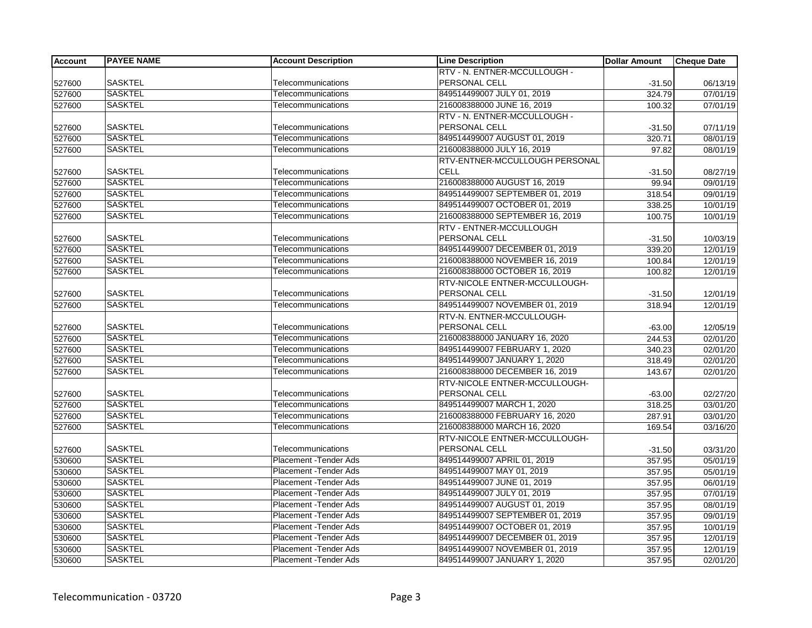| <b>Account</b> | <b>PAYEE NAME</b> | <b>Account Description</b>    | <b>Line Description</b>               | <b>Dollar Amount</b> | <b>Cheque Date</b> |
|----------------|-------------------|-------------------------------|---------------------------------------|----------------------|--------------------|
|                |                   |                               | RTV - N. ENTNER-MCCULLOUGH -          |                      |                    |
| 527600         | <b>SASKTEL</b>    | Telecommunications            | PERSONAL CELL                         | $-31.50$             | 06/13/19           |
| 527600         | <b>SASKTEL</b>    | Telecommunications            | 849514499007 JULY 01, 2019            | 324.79               | 07/01/19           |
| 527600         | <b>SASKTEL</b>    | Telecommunications            | 216008388000 JUNE 16, 2019            | 100.32               | 07/01/19           |
|                |                   |                               | RTV - N. ENTNER-MCCULLOUGH -          |                      |                    |
| 527600         | <b>SASKTEL</b>    | Telecommunications            | <b>PERSONAL CELL</b>                  | $-31.50$             | 07/11/19           |
| 527600         | <b>SASKTEL</b>    | Telecommunications            | 849514499007 AUGUST 01, 2019          | 320.71               | 08/01/19           |
| 527600         | <b>SASKTEL</b>    | Telecommunications            | 216008388000 JULY 16, 2019            | 97.82                | 08/01/19           |
|                |                   |                               | <b>RTV-ENTNER-MCCULLOUGH PERSONAL</b> |                      |                    |
| 527600         | <b>SASKTEL</b>    | Telecommunications            | <b>CELL</b>                           | $-31.50$             | 08/27/19           |
| 527600         | <b>SASKTEL</b>    | Telecommunications            | 216008388000 AUGUST 16, 2019          | 99.94                | 09/01/19           |
| 527600         | <b>SASKTEL</b>    | Telecommunications            | 849514499007 SEPTEMBER 01, 2019       | 318.54               | 09/01/19           |
| 527600         | <b>SASKTEL</b>    | Telecommunications            | 849514499007 OCTOBER 01, 2019         | 338.25               | 10/01/19           |
| 527600         | <b>SASKTEL</b>    | Telecommunications            | 216008388000 SEPTEMBER 16, 2019       | 100.75               | 10/01/19           |
|                |                   |                               | RTV - ENTNER-MCCULLOUGH               |                      |                    |
| 527600         | <b>SASKTEL</b>    | Telecommunications            | <b>PERSONAL CELL</b>                  | $-31.50$             | 10/03/19           |
| 527600         | <b>SASKTEL</b>    | Telecommunications            | 849514499007 DECEMBER 01, 2019        | 339.20               | 12/01/19           |
| 527600         | <b>SASKTEL</b>    | Telecommunications            | 216008388000 NOVEMBER 16, 2019        | 100.84               | 12/01/19           |
| 527600         | <b>SASKTEL</b>    | Telecommunications            | 216008388000 OCTOBER 16, 2019         | 100.82               | 12/01/19           |
|                |                   |                               | RTV-NICOLE ENTNER-MCCULLOUGH-         |                      |                    |
| 527600         | <b>SASKTEL</b>    | Telecommunications            | PERSONAL CELL                         | $-31.50$             | 12/01/19           |
| 527600         | <b>SASKTEL</b>    | Telecommunications            | 849514499007 NOVEMBER 01, 2019        | 318.94               | 12/01/19           |
|                |                   |                               | RTV-N. ENTNER-MCCULLOUGH-             |                      |                    |
| 527600         | <b>SASKTEL</b>    | Telecommunications            | PERSONAL CELL                         | $-63.00$             | 12/05/19           |
| 527600         | <b>SASKTEL</b>    | Telecommunications            | 216008388000 JANUARY 16, 2020         | 244.53               | 02/01/20           |
| 527600         | <b>SASKTEL</b>    | Telecommunications            | 849514499007 FEBRUARY 1, 2020         | 340.23               | 02/01/20           |
| 527600         | <b>SASKTEL</b>    | Telecommunications            | 849514499007 JANUARY 1, 2020          | 318.49               | 02/01/20           |
| 527600         | <b>SASKTEL</b>    | Telecommunications            | 216008388000 DECEMBER 16, 2019        | 143.67               | 02/01/20           |
|                |                   |                               | RTV-NICOLE ENTNER-MCCULLOUGH-         |                      |                    |
| 527600         | <b>SASKTEL</b>    | Telecommunications            | PERSONAL CELL                         | $-63.00$             | 02/27/20           |
| 527600         | <b>SASKTEL</b>    | Telecommunications            | 849514499007 MARCH 1, 2020            | 318.25               | 03/01/20           |
| 527600         | <b>SASKTEL</b>    | Telecommunications            | 216008388000 FEBRUARY 16, 2020        | 287.91               | 03/01/20           |
| 527600         | <b>SASKTEL</b>    | Telecommunications            | 216008388000 MARCH 16, 2020           | 169.54               | 03/16/20           |
|                |                   |                               | RTV-NICOLE ENTNER-MCCULLOUGH-         |                      |                    |
| 527600         | <b>SASKTEL</b>    | Telecommunications            | PERSONAL CELL                         | $-31.50$             | 03/31/20           |
| 530600         | <b>SASKTEL</b>    | Placement - Tender Ads        | 849514499007 APRIL 01, 2019           | 357.95               | 05/01/19           |
| 530600         | <b>SASKTEL</b>    | Placement - Tender Ads        | 849514499007 MAY 01, 2019             | 357.95               | 05/01/19           |
| 530600         | <b>SASKTEL</b>    | Placement - Tender Ads        | 849514499007 JUNE 01, 2019            | 357.95               | 06/01/19           |
| 530600         | <b>SASKTEL</b>    | Placement - Tender Ads        | 849514499007 JULY 01, 2019            | 357.95               | 07/01/19           |
| 530600         | <b>SASKTEL</b>    | Placement - Tender Ads        | 849514499007 AUGUST 01, 2019          | 357.95               | 08/01/19           |
| 530600         | <b>SASKTEL</b>    | Placement - Tender Ads        | 849514499007 SEPTEMBER 01, 2019       | 357.95               | 09/01/19           |
| 530600         | <b>SASKTEL</b>    | Placement - Tender Ads        | 849514499007 OCTOBER 01, 2019         | 357.95               | 10/01/19           |
| 530600         | <b>SASKTEL</b>    | Placement - Tender Ads        | 849514499007 DECEMBER 01, 2019        | 357.95               | 12/01/19           |
| 530600         | <b>SASKTEL</b>    | <b>Placement - Tender Ads</b> | 849514499007 NOVEMBER 01, 2019        | 357.95               | 12/01/19           |
| 530600         | <b>SASKTEL</b>    | Placement - Tender Ads        | 849514499007 JANUARY 1, 2020          | 357.95               | 02/01/20           |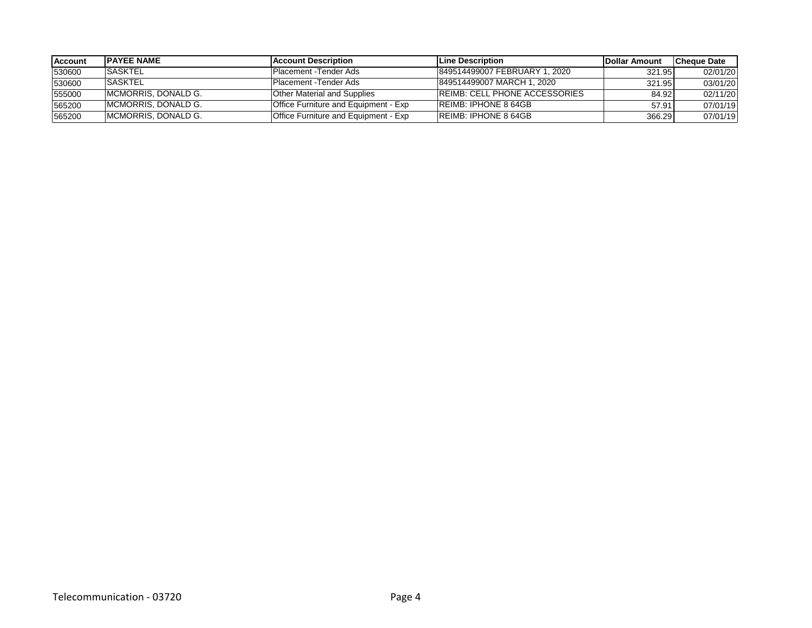| <b>Account</b> | <b>IPAYEE NAME</b>   | <b>IAccount Description</b>                 | <b>Line Description</b>               | <b>IDollar Amount</b> | <b>ICheque Date</b> |
|----------------|----------------------|---------------------------------------------|---------------------------------------|-----------------------|---------------------|
| 530600         | <b>ISASKTEL</b>      | IPlacement -Tender Ads                      | 849514499007 FEBRUARY 1, 2020         | 321.95                | 02/01/20            |
| 530600         | <b>SASKTEL</b>       | IPlacement -Tender Ads                      | 849514499007 MARCH 1, 2020            | 321.95                | 03/01/20            |
| 555000         | MCMORRIS, DONALD G.  | <b>Other Material and Supplies</b>          | <b>IREIMB: CELL PHONE ACCESSORIES</b> | 84.92                 | 02/11/20            |
| 565200         | IMCMORRIS, DONALD G. | Office Furniture and Equipment - Exp        | <b>REIMB: IPHONE 8 64GB</b>           | 57.91                 | 07/01/19            |
| 565200         | IMCMORRIS, DONALD G. | <b>Office Furniture and Equipment - Exp</b> | <b>IREIMB: IPHONE 8 64GB</b>          | 366.29                | 07/01/19            |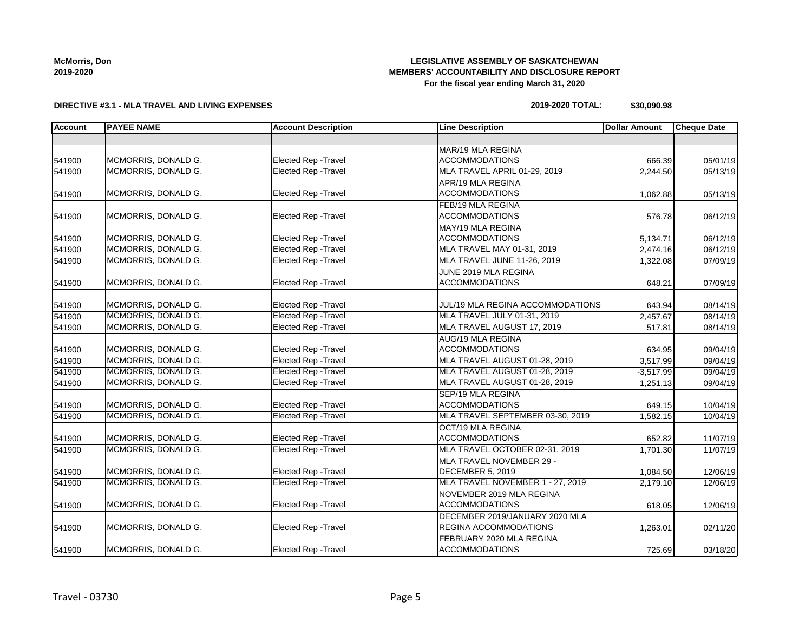**McMorris, Don 2019-2020**

## **LEGISLATIVE ASSEMBLY OF SASKATCHEWAN MEMBERS' ACCOUNTABILITY AND DISCLOSURE REPORT For the fiscal year ending March 31, 2020**

### **DIRECTIVE #3.1 - MLA TRAVEL AND LIVING EXPENSES**

### **2019-2020 TOTAL: \$30,090.98**

| Account | <b>PAYEE NAME</b>   | <b>Account Description</b>  | <b>Line Description</b>          | <b>Dollar Amount</b> | <b>Cheque Date</b> |
|---------|---------------------|-----------------------------|----------------------------------|----------------------|--------------------|
|         |                     |                             |                                  |                      |                    |
|         |                     |                             | MAR/19 MLA REGINA                |                      |                    |
| 541900  | MCMORRIS, DONALD G. | Elected Rep - Travel        | <b>ACCOMMODATIONS</b>            | 666.39               | 05/01/19           |
| 541900  | MCMORRIS, DONALD G. | <b>Elected Rep - Travel</b> | MLA TRAVEL APRIL 01-29, 2019     | 2,244.50             | 05/13/19           |
|         |                     |                             | APR/19 MLA REGINA                |                      |                    |
| 541900  | MCMORRIS, DONALD G. | <b>Elected Rep - Travel</b> | <b>ACCOMMODATIONS</b>            | 1,062.88             | 05/13/19           |
|         |                     |                             | FEB/19 MLA REGINA                |                      |                    |
| 541900  | MCMORRIS, DONALD G. | Elected Rep - Travel        | <b>ACCOMMODATIONS</b>            | 576.78               | 06/12/19           |
|         |                     |                             | MAY/19 MLA REGINA                |                      |                    |
| 541900  | MCMORRIS, DONALD G. | <b>Elected Rep - Travel</b> | <b>ACCOMMODATIONS</b>            | 5,134.71             | 06/12/19           |
| 541900  | MCMORRIS, DONALD G. | <b>Elected Rep - Travel</b> | MLA TRAVEL MAY 01-31, 2019       | 2,474.16             | 06/12/19           |
| 541900  | MCMORRIS, DONALD G. | <b>Elected Rep - Travel</b> | MLA TRAVEL JUNE 11-26, 2019      | 1,322.08             | 07/09/19           |
|         |                     |                             | JUNE 2019 MLA REGINA             |                      |                    |
| 541900  | MCMORRIS, DONALD G. | <b>Elected Rep - Travel</b> | <b>ACCOMMODATIONS</b>            | 648.21               | 07/09/19           |
|         |                     |                             |                                  |                      |                    |
| 541900  | MCMORRIS, DONALD G. | Elected Rep - Travel        | JUL/19 MLA REGINA ACCOMMODATIONS | 643.94               | 08/14/19           |
| 541900  | MCMORRIS, DONALD G. | <b>Elected Rep - Travel</b> | MLA TRAVEL JULY 01-31, 2019      | 2,457.67             | 08/14/19           |
| 541900  | MCMORRIS, DONALD G. | <b>Elected Rep - Travel</b> | MLA TRAVEL AUGUST 17, 2019       | 517.81               | 08/14/19           |
|         |                     |                             | <b>AUG/19 MLA REGINA</b>         |                      |                    |
| 541900  | MCMORRIS, DONALD G. | Elected Rep - Travel        | <b>ACCOMMODATIONS</b>            | 634.95               | 09/04/19           |
| 541900  | MCMORRIS, DONALD G. | <b>Elected Rep - Travel</b> | MLA TRAVEL AUGUST 01-28, 2019    | 3,517.99             | 09/04/19           |
| 541900  | MCMORRIS, DONALD G. | <b>Elected Rep - Travel</b> | MLA TRAVEL AUGUST 01-28, 2019    | $-3,517.99$          | 09/04/19           |
| 541900  | MCMORRIS, DONALD G. | <b>Elected Rep - Travel</b> | MLA TRAVEL AUGUST 01-28, 2019    | 1,251.13             | 09/04/19           |
|         |                     |                             | SEP/19 MLA REGINA                |                      |                    |
| 541900  | MCMORRIS, DONALD G. | <b>Elected Rep - Travel</b> | <b>ACCOMMODATIONS</b>            | 649.15               | 10/04/19           |
| 541900  | MCMORRIS, DONALD G. | <b>Elected Rep - Travel</b> | MLA TRAVEL SEPTEMBER 03-30, 2019 | 1,582.15             | 10/04/19           |
|         |                     |                             | OCT/19 MLA REGINA                |                      |                    |
| 541900  | MCMORRIS, DONALD G. | <b>Elected Rep - Travel</b> | <b>ACCOMMODATIONS</b>            | 652.82               | 11/07/19           |
| 541900  | MCMORRIS, DONALD G. | <b>Elected Rep - Travel</b> | MLA TRAVEL OCTOBER 02-31, 2019   | 1,701.30             | 11/07/19           |
|         |                     |                             | MLA TRAVEL NOVEMBER 29 -         |                      |                    |
| 541900  | MCMORRIS, DONALD G. | <b>Elected Rep - Travel</b> | DECEMBER 5, 2019                 | 1,084.50             | 12/06/19           |
| 541900  | MCMORRIS, DONALD G. | <b>Elected Rep - Travel</b> | MLA TRAVEL NOVEMBER 1 - 27, 2019 | 2,179.10             | 12/06/19           |
|         |                     |                             | NOVEMBER 2019 MLA REGINA         |                      |                    |
| 541900  | MCMORRIS, DONALD G. | Elected Rep - Travel        | <b>ACCOMMODATIONS</b>            | 618.05               | 12/06/19           |
|         |                     |                             | DECEMBER 2019/JANUARY 2020 MLA   |                      |                    |
| 541900  | MCMORRIS, DONALD G. | <b>Elected Rep - Travel</b> | <b>REGINA ACCOMMODATIONS</b>     | 1,263.01             | 02/11/20           |
|         |                     |                             | FEBRUARY 2020 MLA REGINA         |                      |                    |
| 541900  | MCMORRIS, DONALD G. | Elected Rep - Travel        | <b>ACCOMMODATIONS</b>            | 725.69               | 03/18/20           |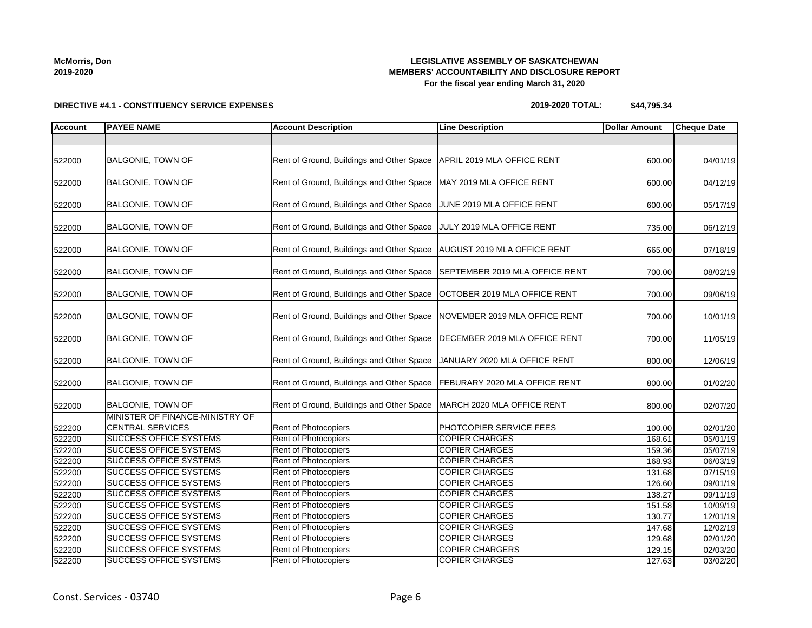| <b>BALGONIE, TOWN OF</b>        |                             |                         | 700.00                                                                                                                                                                                                                                                                                                       | 11/05/19 |
|---------------------------------|-----------------------------|-------------------------|--------------------------------------------------------------------------------------------------------------------------------------------------------------------------------------------------------------------------------------------------------------------------------------------------------------|----------|
| BALGONIE, TOWN OF               |                             |                         | 800.00                                                                                                                                                                                                                                                                                                       | 12/06/19 |
| BALGONIE, TOWN OF               |                             |                         | 800.00                                                                                                                                                                                                                                                                                                       | 01/02/20 |
| <b>BALGONIE, TOWN OF</b>        |                             |                         | 800.00                                                                                                                                                                                                                                                                                                       | 02/07/20 |
| MINISTER OF FINANCE-MINISTRY OF |                             |                         |                                                                                                                                                                                                                                                                                                              |          |
| <b>CENTRAL SERVICES</b>         | Rent of Photocopiers        | PHOTCOPIER SERVICE FEES | 100.00                                                                                                                                                                                                                                                                                                       | 02/01/20 |
| SUCCESS OFFICE SYSTEMS          | Rent of Photocopiers        | <b>COPIER CHARGES</b>   | 168.61                                                                                                                                                                                                                                                                                                       | 05/01/19 |
| SUCCESS OFFICE SYSTEMS          | Rent of Photocopiers        | <b>COPIER CHARGES</b>   | 159.36                                                                                                                                                                                                                                                                                                       | 05/07/19 |
| SUCCESS OFFICE SYSTEMS          | Rent of Photocopiers        | <b>COPIER CHARGES</b>   | 168.93                                                                                                                                                                                                                                                                                                       | 06/03/19 |
| SUCCESS OFFICE SYSTEMS          | Rent of Photocopiers        | <b>COPIER CHARGES</b>   | 131.68                                                                                                                                                                                                                                                                                                       | 07/15/19 |
| SUCCESS OFFICE SYSTEMS          | <b>Rent of Photocopiers</b> | <b>COPIER CHARGES</b>   | 126.60                                                                                                                                                                                                                                                                                                       | 09/01/19 |
| SUCCESS OFFICE SYSTEMS          | Rent of Photocopiers        | <b>COPIER CHARGES</b>   | 138.27                                                                                                                                                                                                                                                                                                       | 09/11/19 |
| SUCCESS OFFICE SYSTEMS          | Rent of Photocopiers        | <b>COPIER CHARGES</b>   | 151.58                                                                                                                                                                                                                                                                                                       | 10/09/19 |
| SUCCESS OFFICE SYSTEMS          | Rent of Photocopiers        | <b>COPIER CHARGES</b>   | 130.77                                                                                                                                                                                                                                                                                                       | 12/01/19 |
| SUCCESS OFFICE SYSTEMS          | Rent of Photocopiers        | <b>COPIER CHARGES</b>   | 147.68                                                                                                                                                                                                                                                                                                       | 12/02/19 |
| SUCCESS OFFICE SYSTEMS          | <b>Rent of Photocopiers</b> | <b>COPIER CHARGES</b>   | 129.68                                                                                                                                                                                                                                                                                                       | 02/01/20 |
| SUCCESS OFFICE SYSTEMS          | Rent of Photocopiers        | <b>COPIER CHARGERS</b>  | 129.15                                                                                                                                                                                                                                                                                                       | 02/03/20 |
| SUCCESS OFFICE SYSTEMS          | Rent of Photocopiers        | <b>COPIER CHARGES</b>   | 127.63                                                                                                                                                                                                                                                                                                       | 03/02/20 |
|                                 |                             |                         | Rent of Ground, Buildings and Other Space   DECEMBER 2019 MLA OFFICE RENT<br>Rent of Ground, Buildings and Other Space   JANUARY 2020 MLA OFFICE RENT<br>Rent of Ground, Buildings and Other Space   FEBURARY 2020 MLA OFFICE RENT<br>Rent of Ground, Buildings and Other Space   MARCH 2020 MLA OFFICE RENT |          |

**Account PAYEE NAME Account Description Line Description Dollar Amount Cheque Date**

522000 BALGONIE, TOWN OF Rent of Ground, Buildings and Other Space APRIL 2019 MLA OFFICE RENT 600.00 600.00 04/01/19

522000 BALGONIE, TOWN OF Rent of Ground, Buildings and Other Space MAY 2019 MLA OFFICE RENT 600.00 64/12/19

522000 BALGONIE, TOWN OF Rent of Ground, Buildings and Other Space JUNE 2019 MLA OFFICE RENT 600.00 65/17/19

522000 |BALGONIE, TOWN OF Rent of Ground, Buildings and Other Space |JULY 2019 MLA OFFICE RENT | 735.00 06/12/19

522000 BALGONIE, TOWN OF Rent of Ground, Buildings and Other Space AUGUST 2019 MLA OFFICE RENT 665.00 67/18/19

522000 |BALGONIE, TOWN OF | Rent of Ground, Buildings and Other Space | SEPTEMBER 2019 MLA OFFICE RENT | 700.00 08/02/19

522000 BALGONIE, TOWN OF Rent of Ground, Buildings and Other Space OCTOBER 2019 MLA OFFICE RENT 700.00 09/06/19

522000 BALGONIE, TOWN OF Rent of Ground, Buildings and Other Space NOVEMBER 2019 MLA OFFICE RENT 700.00 10/01/19

# **DIRECTIVE #4.1 - CONSTITUENCY SERVICE EXPENSES**

# **LEGISLATIVE ASSEMBLY OF SASKATCHEWAN MEMBERS' ACCOUNTABILITY AND DISCLOSURE REPORT For the fiscal year ending March 31, 2020**

**2019-2020 TOTAL: \$44,795.34**

## **McMorris, Don 2019-2020**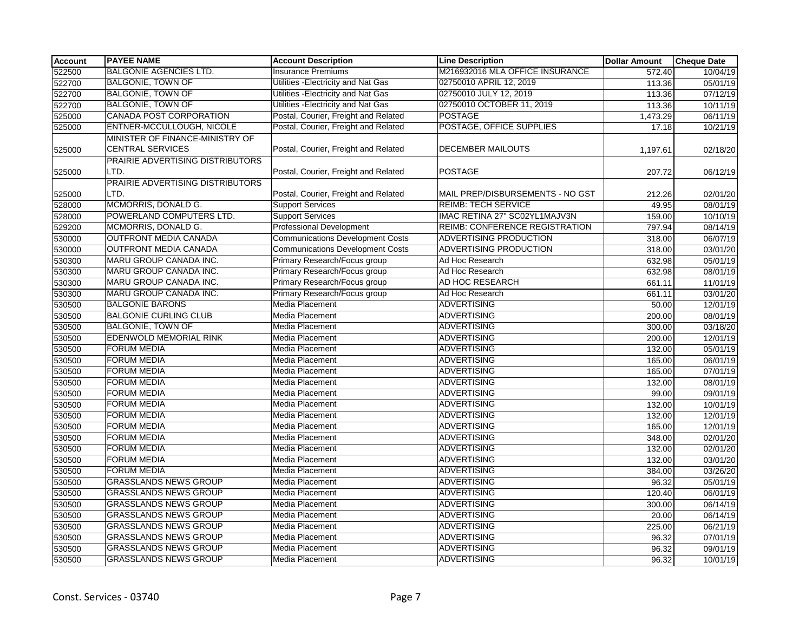| <b>Account</b> | <b>PAYEE NAME</b>                                          | <b>Account Description</b>              | <b>Line Description</b>               | <b>Dollar Amount</b> | <b>Cheque Date</b> |
|----------------|------------------------------------------------------------|-----------------------------------------|---------------------------------------|----------------------|--------------------|
| 522500         | <b>BALGONIE AGENCIES LTD.</b>                              | <b>Insurance Premiums</b>               | M216932016 MLA OFFICE INSURANCE       | 572.40               | 10/04/19           |
| 522700         | <b>BALGONIE, TOWN OF</b>                                   | Utilities - Electricity and Nat Gas     | 02750010 APRIL 12, 2019               | 113.36               | 05/01/19           |
| 522700         | <b>BALGONIE, TOWN OF</b>                                   | Utilities - Electricity and Nat Gas     | 02750010 JULY 12, 2019                | 113.36               | 07/12/19           |
| 522700         | <b>BALGONIE, TOWN OF</b>                                   | Utilities - Electricity and Nat Gas     | 02750010 OCTOBER 11, 2019             | 113.36               | 10/11/19           |
| 525000         | CANADA POST CORPORATION                                    | Postal, Courier, Freight and Related    | <b>POSTAGE</b>                        | 1,473.29             | 06/11/19           |
| 525000         | ENTNER-MCCULLOUGH, NICOLE                                  | Postal, Courier, Freight and Related    | POSTAGE, OFFICE SUPPLIES              | 17.18                | 10/21/19           |
| 525000         | MINISTER OF FINANCE-MINISTRY OF<br><b>CENTRAL SERVICES</b> | Postal, Courier, Freight and Related    | <b>DECEMBER MAILOUTS</b>              | 1,197.61             | 02/18/20           |
| 525000         | PRAIRIE ADVERTISING DISTRIBUTORS<br>LTD.                   | Postal, Courier, Freight and Related    | <b>POSTAGE</b>                        | 207.72               | 06/12/19           |
| 525000         | PRAIRIE ADVERTISING DISTRIBUTORS<br>LTD.                   | Postal, Courier, Freight and Related    | MAIL PREP/DISBURSEMENTS - NO GST      | 212.26               | 02/01/20           |
| 528000         | MCMORRIS, DONALD G.                                        | <b>Support Services</b>                 | <b>REIMB: TECH SERVICE</b>            | 49.95                | 08/01/19           |
| 528000         | POWERLAND COMPUTERS LTD.                                   | <b>Support Services</b>                 | IMAC RETINA 27" SC02YL1MAJV3N         | 159.00               | 10/10/19           |
| 529200         | MCMORRIS, DONALD G.                                        | <b>Professional Development</b>         | <b>REIMB: CONFERENCE REGISTRATION</b> | 797.94               | 08/14/19           |
| 530000         | <b>OUTFRONT MEDIA CANADA</b>                               | <b>Communications Development Costs</b> | <b>ADVERTISING PRODUCTION</b>         | 318.00               | 06/07/19           |
| 530000         | <b>OUTFRONT MEDIA CANADA</b>                               | <b>Communications Development Costs</b> | <b>ADVERTISING PRODUCTION</b>         | 318.00               | 03/01/20           |
| 530300         | MARU GROUP CANADA INC.                                     | Primary Research/Focus group            | Ad Hoc Research                       | 632.98               | 05/01/19           |
| 530300         | MARU GROUP CANADA INC.                                     | Primary Research/Focus group            | Ad Hoc Research                       | 632.98               | 08/01/19           |
| 530300         | MARU GROUP CANADA INC.                                     | Primary Research/Focus group            | AD HOC RESEARCH                       | 661.11               | 11/01/19           |
| 530300         | MARU GROUP CANADA INC.                                     | Primary Research/Focus group            | Ad Hoc Research                       | 661.11               | 03/01/20           |
| 530500         | <b>BALGONIE BARONS</b>                                     | <b>Media Placement</b>                  | <b>ADVERTISING</b>                    | 50.00                | 12/01/19           |
| 530500         | <b>BALGONIE CURLING CLUB</b>                               | <b>Media Placement</b>                  | <b>ADVERTISING</b>                    | 200.00               | 08/01/19           |
| 530500         | <b>BALGONIE, TOWN OF</b>                                   | Media Placement                         | <b>ADVERTISING</b>                    | 300.00               | 03/18/20           |
| 530500         | EDENWOLD MEMORIAL RINK                                     | Media Placement                         | <b>ADVERTISING</b>                    | 200.00               | 12/01/19           |
| 530500         | <b>FORUM MEDIA</b>                                         | Media Placement                         | <b>ADVERTISING</b>                    | 132.00               | 05/01/19           |
| 530500         | <b>FORUM MEDIA</b>                                         | Media Placement                         | <b>ADVERTISING</b>                    | 165.00               | 06/01/19           |
| 530500         | <b>FORUM MEDIA</b>                                         | Media Placement                         | <b>ADVERTISING</b>                    | 165.00               | 07/01/19           |
| 530500         | <b>FORUM MEDIA</b>                                         | Media Placement                         | <b>ADVERTISING</b>                    | 132.00               | 08/01/19           |
| 530500         | <b>FORUM MEDIA</b>                                         | <b>Media Placement</b>                  | <b>ADVERTISING</b>                    | 99.00                | 09/01/19           |
| 530500         | <b>FORUM MEDIA</b>                                         | <b>Media Placement</b>                  | <b>ADVERTISING</b>                    | 132.00               | 10/01/19           |
| 530500         | <b>FORUM MEDIA</b>                                         | Media Placement                         | <b>ADVERTISING</b>                    | 132.00               | 12/01/19           |
| 530500         | <b>FORUM MEDIA</b>                                         | Media Placement                         | <b>ADVERTISING</b>                    | 165.00               | 12/01/19           |
| 530500         | <b>FORUM MEDIA</b>                                         | Media Placement                         | <b>ADVERTISING</b>                    | 348.00               | 02/01/20           |
| 530500         | <b>FORUM MEDIA</b>                                         | Media Placement                         | <b>ADVERTISING</b>                    | 132.00               | 02/01/20           |
| 530500         | <b>FORUM MEDIA</b>                                         | Media Placement                         | <b>ADVERTISING</b>                    | 132.00               | 03/01/20           |
| 530500         | <b>FORUM MEDIA</b>                                         | Media Placement                         | <b>ADVERTISING</b>                    | 384.00               | 03/26/20           |
| 530500         | <b>GRASSLANDS NEWS GROUP</b>                               | Media Placement                         | <b>ADVERTISING</b>                    | 96.32                | 05/01/19           |
| 530500         | <b>GRASSLANDS NEWS GROUP</b>                               | <b>Media Placement</b>                  | <b>ADVERTISING</b>                    | 120.40               | 06/01/19           |
| 530500         | <b>GRASSLANDS NEWS GROUP</b>                               | Media Placement                         | <b>ADVERTISING</b>                    | 300.00               | 06/14/19           |
| 530500         | <b>GRASSLANDS NEWS GROUP</b>                               | Media Placement                         | <b>ADVERTISING</b>                    | 20.00                | 06/14/19           |
| 530500         | <b>GRASSLANDS NEWS GROUP</b>                               | <b>Media Placement</b>                  | <b>ADVERTISING</b>                    | 225.00               | 06/21/19           |
| 530500         | <b>GRASSLANDS NEWS GROUP</b>                               | Media Placement                         | <b>ADVERTISING</b>                    | 96.32                | 07/01/19           |
| 530500         | <b>GRASSLANDS NEWS GROUP</b>                               | Media Placement                         | <b>ADVERTISING</b>                    | 96.32                | 09/01/19           |
| 530500         | <b>GRASSLANDS NEWS GROUP</b>                               | Media Placement                         | <b>ADVERTISING</b>                    | 96.32                | 10/01/19           |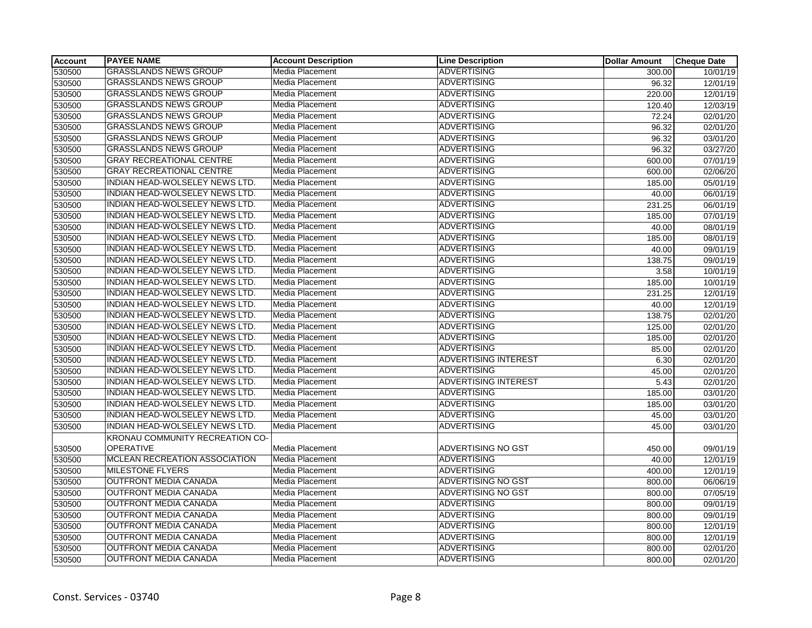| <b>Account</b> | <b>PAYEE NAME</b>                     | <b>Account Description</b> | <b>Line Description</b>     | <b>Dollar Amount</b> | <b>Cheque Date</b> |
|----------------|---------------------------------------|----------------------------|-----------------------------|----------------------|--------------------|
| 530500         | <b>GRASSLANDS NEWS GROUP</b>          | Media Placement            | <b>ADVERTISING</b>          | 300.00               | 10/01/19           |
| 530500         | <b>GRASSLANDS NEWS GROUP</b>          | Media Placement            | <b>ADVERTISING</b>          | 96.32                | 12/01/19           |
| 530500         | <b>GRASSLANDS NEWS GROUP</b>          | Media Placement            | <b>ADVERTISING</b>          | 220.00               | 12/01/19           |
| 530500         | <b>GRASSLANDS NEWS GROUP</b>          | Media Placement            | <b>ADVERTISING</b>          | 120.40               | 12/03/19           |
| 530500         | <b>GRASSLANDS NEWS GROUP</b>          | Media Placement            | <b>ADVERTISING</b>          | 72.24                | 02/01/20           |
| 530500         | <b>GRASSLANDS NEWS GROUP</b>          | Media Placement            | <b>ADVERTISING</b>          | 96.32                | 02/01/20           |
| 530500         | <b>GRASSLANDS NEWS GROUP</b>          | Media Placement            | <b>ADVERTISING</b>          | 96.32                | 03/01/20           |
| 530500         | <b>GRASSLANDS NEWS GROUP</b>          | Media Placement            | <b>ADVERTISING</b>          | 96.32                | 03/27/20           |
| 530500         | <b>GRAY RECREATIONAL CENTRE</b>       | Media Placement            | <b>ADVERTISING</b>          | 600.00               | 07/01/19           |
| 530500         | <b>GRAY RECREATIONAL CENTRE</b>       | Media Placement            | <b>ADVERTISING</b>          | 600.00               | 02/06/20           |
| 530500         | INDIAN HEAD-WOLSELEY NEWS LTD.        | Media Placement            | <b>ADVERTISING</b>          | 185.00               | 05/01/19           |
| 530500         | INDIAN HEAD-WOLSELEY NEWS LTD.        | Media Placement            | <b>ADVERTISING</b>          | 40.00                | 06/01/19           |
| 530500         | INDIAN HEAD-WOLSELEY NEWS LTD.        | Media Placement            | <b>ADVERTISING</b>          | 231.25               | 06/01/19           |
| 530500         | INDIAN HEAD-WOLSELEY NEWS LTD.        | Media Placement            | <b>ADVERTISING</b>          | 185.00               | 07/01/19           |
| 530500         | INDIAN HEAD-WOLSELEY NEWS LTD.        | Media Placement            | <b>ADVERTISING</b>          | 40.00                | 08/01/19           |
| 530500         | INDIAN HEAD-WOLSELEY NEWS LTD.        | Media Placement            | <b>ADVERTISING</b>          | 185.00               | 08/01/19           |
| 530500         | INDIAN HEAD-WOLSELEY NEWS LTD.        | Media Placement            | <b>ADVERTISING</b>          | 40.00                | 09/01/19           |
| 530500         | INDIAN HEAD-WOLSELEY NEWS LTD.        | Media Placement            | <b>ADVERTISING</b>          | 138.75               | 09/01/19           |
| 530500         | INDIAN HEAD-WOLSELEY NEWS LTD.        | Media Placement            | <b>ADVERTISING</b>          | 3.58                 | 10/01/19           |
| 530500         | INDIAN HEAD-WOLSELEY NEWS LTD.        | Media Placement            | <b>ADVERTISING</b>          | 185.00               | 10/01/19           |
| 530500         | INDIAN HEAD-WOLSELEY NEWS LTD.        | Media Placement            | <b>ADVERTISING</b>          | 231.25               | 12/01/19           |
| 530500         | <b>INDIAN HEAD-WOLSELEY NEWS LTD.</b> | Media Placement            | <b>ADVERTISING</b>          | 40.00                | 12/01/19           |
| 530500         | INDIAN HEAD-WOLSELEY NEWS LTD.        | Media Placement            | <b>ADVERTISING</b>          | 138.75               | 02/01/20           |
| 530500         | INDIAN HEAD-WOLSELEY NEWS LTD.        | Media Placement            | <b>ADVERTISING</b>          | 125.00               | 02/01/20           |
| 530500         | INDIAN HEAD-WOLSELEY NEWS LTD.        | Media Placement            | <b>ADVERTISING</b>          | 185.00               | 02/01/20           |
| 530500         | INDIAN HEAD-WOLSELEY NEWS LTD.        | Media Placement            | <b>ADVERTISING</b>          | 85.00                | 02/01/20           |
| 530500         | INDIAN HEAD-WOLSELEY NEWS LTD.        | Media Placement            | <b>ADVERTISING INTEREST</b> | 6.30                 | 02/01/20           |
| 530500         | INDIAN HEAD-WOLSELEY NEWS LTD.        | Media Placement            | <b>ADVERTISING</b>          | 45.00                | 02/01/20           |
| 530500         | INDIAN HEAD-WOLSELEY NEWS LTD.        | Media Placement            | <b>ADVERTISING INTEREST</b> | 5.43                 | 02/01/20           |
| 530500         | INDIAN HEAD-WOLSELEY NEWS LTD.        | Media Placement            | <b>ADVERTISING</b>          | 185.00               | 03/01/20           |
| 530500         | INDIAN HEAD-WOLSELEY NEWS LTD.        | Media Placement            | <b>ADVERTISING</b>          | 185.00               | 03/01/20           |
| 530500         | INDIAN HEAD-WOLSELEY NEWS LTD.        | Media Placement            | <b>ADVERTISING</b>          | 45.00                | 03/01/20           |
| 530500         | INDIAN HEAD-WOLSELEY NEWS LTD.        | Media Placement            | <b>ADVERTISING</b>          | 45.00                | 03/01/20           |
|                | KRONAU COMMUNITY RECREATION CO-       |                            |                             |                      |                    |
| 530500         | <b>OPERATIVE</b>                      | Media Placement            | ADVERTISING NO GST          | 450.00               | 09/01/19           |
| 530500         | MCLEAN RECREATION ASSOCIATION         | Media Placement            | <b>ADVERTISING</b>          | 40.00                | 12/01/19           |
| 530500         | <b>MILESTONE FLYERS</b>               | Media Placement            | <b>ADVERTISING</b>          | 400.00               | 12/01/19           |
| 530500         | OUTFRONT MEDIA CANADA                 | Media Placement            | ADVERTISING NO GST          | 800.00               | 06/06/19           |
| 530500         | <b>OUTFRONT MEDIA CANADA</b>          | Media Placement            | ADVERTISING NO GST          | 800.00               | 07/05/19           |
| 530500         | <b>OUTFRONT MEDIA CANADA</b>          | Media Placement            | <b>ADVERTISING</b>          | 800.00               | 09/01/19           |
| 530500         | <b>OUTFRONT MEDIA CANADA</b>          | Media Placement            | <b>ADVERTISING</b>          | 800.00               | 09/01/19           |
| 530500         | <b>OUTFRONT MEDIA CANADA</b>          | Media Placement            | <b>ADVERTISING</b>          | 800.00               | 12/01/19           |
| 530500         | <b>OUTFRONT MEDIA CANADA</b>          | Media Placement            | <b>ADVERTISING</b>          | 800.00               | 12/01/19           |
| 530500         | OUTFRONT MEDIA CANADA                 | Media Placement            | <b>ADVERTISING</b>          | 800.00               | 02/01/20           |
| 530500         | <b>OUTFRONT MEDIA CANADA</b>          | Media Placement            | <b>ADVERTISING</b>          | 800.00               | 02/01/20           |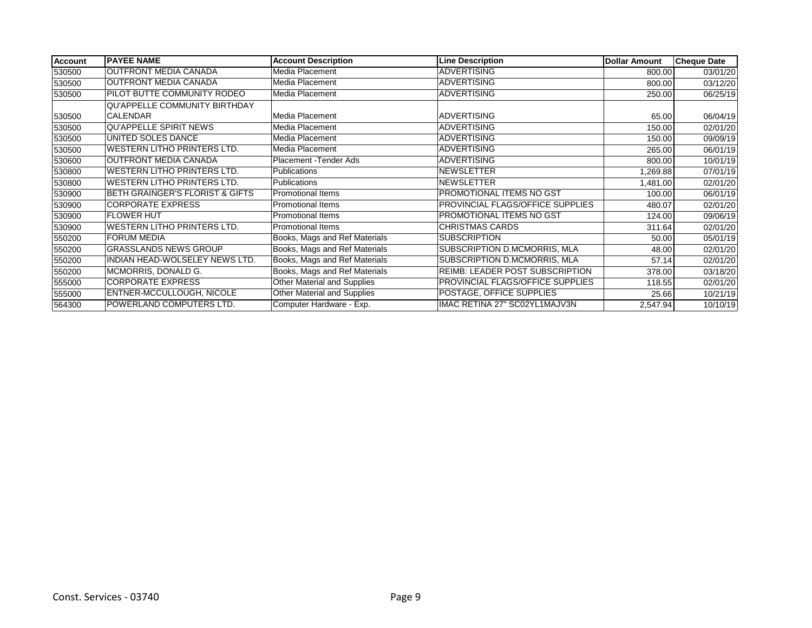| <b>Account</b> | <b>IPAYEE NAME</b>                   | <b>Account Description</b>    | <b>Line Description</b>                | <b>Dollar Amount</b> | <b>Cheque Date</b> |
|----------------|--------------------------------------|-------------------------------|----------------------------------------|----------------------|--------------------|
| 530500         | <b>OUTFRONT MEDIA CANADA</b>         | Media Placement               | <b>ADVERTISING</b>                     | 800.00               | 03/01/20           |
| 530500         | <b>OUTFRONT MEDIA CANADA</b>         | Media Placement               | <b>ADVERTISING</b>                     | 800.00               | 03/12/20           |
| 530500         | PILOT BUTTE COMMUNITY RODEO          | Media Placement               | <b>ADVERTISING</b>                     | 250.00               | 06/25/19           |
|                | <b>QU'APPELLE COMMUNITY BIRTHDAY</b> |                               |                                        |                      |                    |
| 530500         | <b>CALENDAR</b>                      | Media Placement               | <b>ADVERTISING</b>                     | 65.00                | 06/04/19           |
| 530500         | <b>QU'APPELLE SPIRIT NEWS</b>        | Media Placement               | <b>ADVERTISING</b>                     | 150.00               | 02/01/20           |
| 530500         | UNITED SOLES DANCE                   | Media Placement               | <b>ADVERTISING</b>                     | 150.00               | 09/09/19           |
| 530500         | WESTERN LITHO PRINTERS LTD.          | Media Placement               | <b>ADVERTISING</b>                     | 265.00               | 06/01/19           |
| 530600         | <b>OUTFRONT MEDIA CANADA</b>         | Placement - Tender Ads        | <b>ADVERTISING</b>                     | 800.00               | 10/01/19           |
| 530800         | WESTERN LITHO PRINTERS LTD.          | <b>Publications</b>           | <b>NEWSLETTER</b>                      | 1,269.88             | 07/01/19           |
| 530800         | WESTERN LITHO PRINTERS LTD.          | <b>Publications</b>           | <b>NEWSLETTER</b>                      | 1,481.00             | 02/01/20           |
| 530900         | BETH GRAINGER'S FLORIST & GIFTS      | <b>Promotional Items</b>      | PROMOTIONAL ITEMS NO GST               | 100.00               | 06/01/19           |
| 530900         | <b>CORPORATE EXPRESS</b>             | <b>Promotional Items</b>      | PROVINCIAL FLAGS/OFFICE SUPPLIES       | 480.07               | 02/01/20           |
| 530900         | <b>FLOWER HUT</b>                    | <b>Promotional Items</b>      | PROMOTIONAL ITEMS NO GST               | 124.00               | 09/06/19           |
| 530900         | WESTERN LITHO PRINTERS LTD.          | <b>Promotional Items</b>      | <b>CHRISTMAS CARDS</b>                 | 311.64               | 02/01/20           |
| 550200         | <b>FORUM MEDIA</b>                   | Books, Mags and Ref Materials | <b>SUBSCRIPTION</b>                    | 50.00                | 05/01/19           |
| 550200         | <b>GRASSLANDS NEWS GROUP</b>         | Books, Mags and Ref Materials | SUBSCRIPTION D.MCMORRIS, MLA           | 48.00                | 02/01/20           |
| 550200         | INDIAN HEAD-WOLSELEY NEWS LTD.       | Books, Mags and Ref Materials | SUBSCRIPTION D.MCMORRIS, MLA           | 57.14                | 02/01/20           |
| 550200         | MCMORRIS, DONALD G.                  | Books, Mags and Ref Materials | <b>REIMB: LEADER POST SUBSCRIPTION</b> | 378.00               | 03/18/20           |
| 555000         | <b>CORPORATE EXPRESS</b>             | Other Material and Supplies   | PROVINCIAL FLAGS/OFFICE SUPPLIES       | 118.55               | 02/01/20           |
| 555000         | ENTNER-MCCULLOUGH, NICOLE            | Other Material and Supplies   | POSTAGE, OFFICE SUPPLIES               | 25.66                | 10/21/19           |
| 564300         | POWERLAND COMPUTERS LTD.             | Computer Hardware - Exp.      | IMAC RETINA 27" SC02YL1MAJV3N          | 2,547.94             | 10/10/19           |